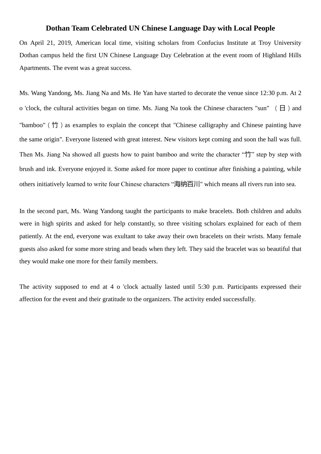## **Dothan Team Celebrated UN Chinese Language Day with Local People**

On April 21, 2019, American local time, visiting scholars from Confucius Institute at Troy University Dothan campus held the first UN Chinese Language Day Celebration at the event room of Highland Hills Apartments. The event was a great success.

Ms. Wang Yandong, Ms. Jiang Na and Ms. He Yan have started to decorate the venue since 12:30 p.m. At 2 o 'clock, the cultural activities began on time. Ms. Jiang Na took the Chinese characters "sun" ( $\Box$ ) and "bamboo"(竹)as examples to explain the concept that "Chinese calligraphy and Chinese painting have the same origin". Everyone listened with great interest. New visitors kept coming and soon the hall was full. Then Ms. Jiang Na showed all guests how to paint bamboo and write the character "竹" step by step with brush and ink. Everyone enjoyed it. Some asked for more paper to continue after finishing a painting, while others initiatively learned to write four Chinese characters "海纳百川" which means all rivers run into sea.

In the second part, Ms. Wang Yandong taught the participants to make bracelets. Both children and adults were in high spirits and asked for help constantly, so three visiting scholars explained for each of them patiently. At the end, everyone was exultant to take away their own bracelets on their wrists. Many female guests also asked for some more string and beads when they left. They said the bracelet was so beautiful that they would make one more for their family members.

The activity supposed to end at 4 o 'clock actually lasted until 5:30 p.m. Participants expressed their affection for the event and their gratitude to the organizers. The activity ended successfully.